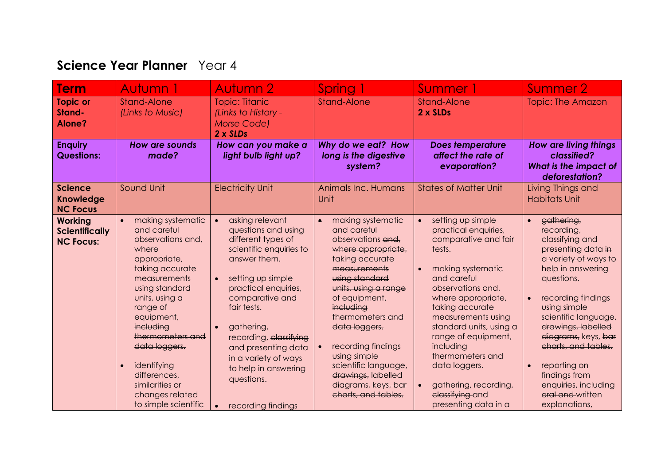## **Science Year Planner** Year 4

| <b>Term</b>                                                 | Autumn 1                                                                                                                                                                                                                                                                                                                       | Autumn 2                                                                                                                                                                                                                                                                                                                                               | Spring 1                                                                                                                                                                                                                                                                                                                                                                   | Summer 1                                                                                                                                                                                                                                                                                                                                                                                                           | Summer 2                                                                                                                                                                                                                                                                                                                                                                  |
|-------------------------------------------------------------|--------------------------------------------------------------------------------------------------------------------------------------------------------------------------------------------------------------------------------------------------------------------------------------------------------------------------------|--------------------------------------------------------------------------------------------------------------------------------------------------------------------------------------------------------------------------------------------------------------------------------------------------------------------------------------------------------|----------------------------------------------------------------------------------------------------------------------------------------------------------------------------------------------------------------------------------------------------------------------------------------------------------------------------------------------------------------------------|--------------------------------------------------------------------------------------------------------------------------------------------------------------------------------------------------------------------------------------------------------------------------------------------------------------------------------------------------------------------------------------------------------------------|---------------------------------------------------------------------------------------------------------------------------------------------------------------------------------------------------------------------------------------------------------------------------------------------------------------------------------------------------------------------------|
| <b>Topic or</b><br>Stand-<br>Alone?                         | Stand-Alone<br>(Links to Music)                                                                                                                                                                                                                                                                                                | <b>Topic: Titanic</b><br>(Links to History -<br><b>Morse Code)</b><br>2 x SLDs                                                                                                                                                                                                                                                                         | <b>Stand-Alone</b>                                                                                                                                                                                                                                                                                                                                                         | <b>Stand-Alone</b><br>$2 \times$ SLDs                                                                                                                                                                                                                                                                                                                                                                              | <b>Topic: The Amazon</b>                                                                                                                                                                                                                                                                                                                                                  |
| <b>Enquiry</b><br><b>Questions:</b>                         | <b>How are sounds</b><br>made?                                                                                                                                                                                                                                                                                                 | How can you make a<br>light bulb light up?                                                                                                                                                                                                                                                                                                             | Why do we eat? How<br>long is the digestive<br>system?                                                                                                                                                                                                                                                                                                                     | <b>Does temperature</b><br>affect the rate of<br>evaporation?                                                                                                                                                                                                                                                                                                                                                      | <b>How are living things</b><br>classified?<br><b>What is the impact of</b><br>deforestation?                                                                                                                                                                                                                                                                             |
| <b>Science</b><br><b>Knowledge</b><br><b>NC Focus</b>       | Sound Unit                                                                                                                                                                                                                                                                                                                     | <b>Electricity Unit</b>                                                                                                                                                                                                                                                                                                                                | Animals Inc. Humans<br>Unit                                                                                                                                                                                                                                                                                                                                                | <b>States of Matter Unit</b>                                                                                                                                                                                                                                                                                                                                                                                       | Living Things and<br><b>Habitats Unit</b>                                                                                                                                                                                                                                                                                                                                 |
| <b>Working</b><br><b>Scientifically</b><br><b>NC Focus:</b> | making systematic<br>and careful<br>observations and,<br>where<br>appropriate,<br>taking accurate<br>measurements<br>using standard<br>units, using a<br>range of<br>equipment,<br>including<br>thermometers and<br>data loggers.<br>identifying<br>differences,<br>similarities or<br>changes related<br>to simple scientific | asking relevant<br>questions and using<br>different types of<br>scientific enquiries to<br>answer them.<br>setting up simple<br>$\bullet$<br>practical enquiries,<br>comparative and<br>fair tests.<br>gathering,<br>recording, classifying<br>and presenting data<br>in a variety of ways<br>to help in answering<br>questions.<br>recording findings | making systematic<br>$\bullet$<br>and careful<br>observations and,<br>where appropriate,<br>taking accurate<br>measurements<br>using standard<br>units, using a range<br>of equipment,<br>including<br>thermometers and<br>data loggers.<br>recording findings<br>using simple<br>scientific language,<br>drawings, labelled<br>diagrams, koys, bar<br>charts, and tables. | setting up simple<br>$\bullet$<br>practical enquiries,<br>comparative and fair<br>tests.<br>making systematic<br>$\bullet$<br>and careful<br>observations and,<br>where appropriate,<br>taking accurate<br>measurements using<br>standard units, using a<br>range of equipment,<br>including<br>thermometers and<br>data loggers.<br>gathering, recording,<br>$\bullet$<br>classifying and<br>presenting data in a | gathering,<br>recording,<br>classifying and<br>presenting data in<br>a variety of ways to<br>help in answering<br>questions.<br>recording findings<br>$\bullet$<br>using simple<br>scientific language,<br>drawings, labelled<br>diagrams, keys, bar<br>charts, and tables.<br>reporting on<br>findings from<br>enquiries, including<br>oral and written<br>explanations, |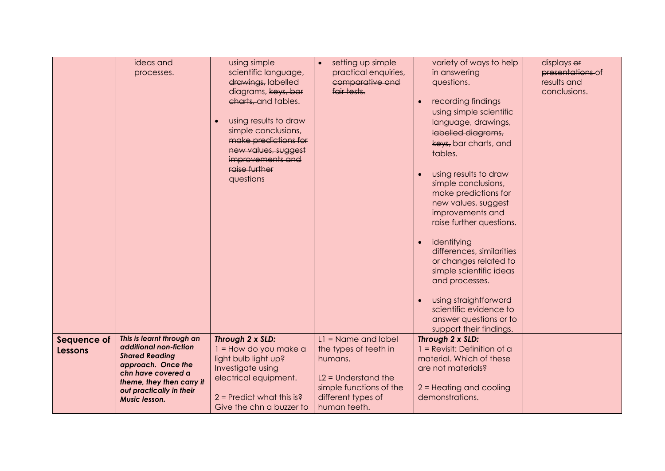|                               | ideas and<br>processes.                                                                                                                                                                            | using simple<br>scientific language,<br>drawings, labelled<br>diagrams, koys, bar<br>charts, and tables.<br>using results to draw<br>$\bullet$<br>simple conclusions,<br>make predictions for<br>new values, suggest<br>improvements and<br>raise further<br>questions | setting up simple<br>$\bullet$<br>practical enquiries,<br>comparative and<br>fair tests.                                                            | variety of ways to help<br>in answering<br>questions.<br>recording findings<br>using simple scientific<br>language, drawings,<br>labelled diagrams,<br>keys, bar charts, and<br>tables.<br>using results to draw<br>simple conclusions,<br>make predictions for<br>new values, suggest<br>improvements and<br>raise further questions.<br>identifying<br>differences, similarities<br>or changes related to<br>simple scientific ideas<br>and processes.<br>using straightforward | displays of<br>presentations of<br>results and<br>conclusions. |
|-------------------------------|----------------------------------------------------------------------------------------------------------------------------------------------------------------------------------------------------|------------------------------------------------------------------------------------------------------------------------------------------------------------------------------------------------------------------------------------------------------------------------|-----------------------------------------------------------------------------------------------------------------------------------------------------|-----------------------------------------------------------------------------------------------------------------------------------------------------------------------------------------------------------------------------------------------------------------------------------------------------------------------------------------------------------------------------------------------------------------------------------------------------------------------------------|----------------------------------------------------------------|
|                               |                                                                                                                                                                                                    |                                                                                                                                                                                                                                                                        |                                                                                                                                                     | scientific evidence to<br>answer questions or to<br>support their findings.                                                                                                                                                                                                                                                                                                                                                                                                       |                                                                |
| Sequence of<br><b>Lessons</b> | This is learnt through an<br>additional non-fiction<br><b>Shared Reading</b><br>approach. Once the<br>chn have covered a<br>theme, they then carry it<br>out practically in their<br>Music lesson. | Through 2 x SLD:<br>1 = How do you make a<br>light bulb light up?<br>Investigate using<br>electrical equipment.<br>$2$ = Predict what this is?<br>Give the chn a buzzer to                                                                                             | $L1 =$ Name and label<br>the types of teeth in<br>humans.<br>$L2 =$ Understand the<br>simple functions of the<br>different types of<br>human teeth. | Through 2 x SLD:<br>$1 =$ Revisit: Definition of a<br>material. Which of these<br>are not materials?<br>2 = Heating and cooling<br>demonstrations.                                                                                                                                                                                                                                                                                                                                |                                                                |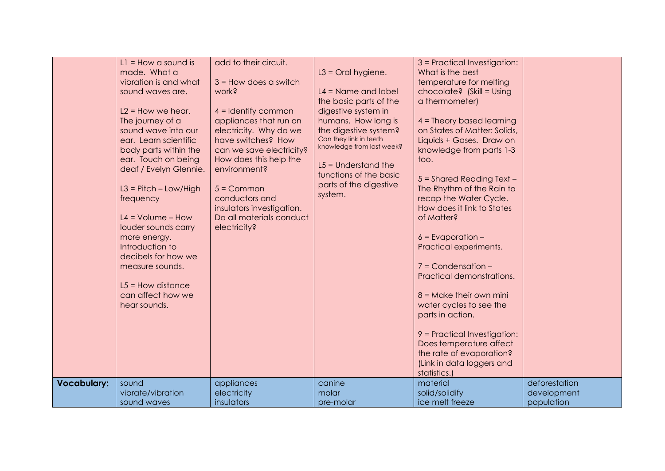|                    | $LI = How$ a sound is<br>made. What a<br>vibration is and what<br>sound waves are.<br>$L2$ = How we hear.<br>The journey of a<br>sound wave into our<br>ear. Learn scientific<br>body parts within the<br>ear. Touch on being<br>deaf / Evelyn Glennie.<br>$L3 = Pitch - Low/High$<br>frequency<br>$L4 = Volume - How$<br>louder sounds carry<br>more energy.<br>Introduction to<br>decibels for how we<br>measure sounds.<br>$L5 =$ How distance<br>can affect how we<br>hear sounds.<br>sound | add to their circuit.<br>$3 =$ How does a switch<br>work?<br>$4 =$ Identify common<br>appliances that run on<br>electricity. Why do we<br>have switches? How<br>can we save electricity?<br>How does this help the<br>environment?<br>$5 =$ Common<br>conductors and<br>insulators investigation.<br>Do all materials conduct<br>electricity? | $L3 =$ Oral hygiene.<br>$L4 =$ Name and label<br>the basic parts of the<br>digestive system in<br>humans. How long is<br>the digestive system?<br>Can they link in teeth<br>knowledge from last week?<br>$L5 =$ Understand the<br>functions of the basic<br>parts of the digestive<br>system.<br>canine | 3 = Practical Investigation:<br>What is the best<br>temperature for melting<br>chocolate? (Skill = Using<br>a thermometer)<br>$4$ = Theory based learning<br>on States of Matter: Solids,<br>Liquids + Gases. Draw on<br>knowledge from parts 1-3<br>too.<br>$5 =$ Shared Reading Text -<br>The Rhythm of the Rain to<br>recap the Water Cycle.<br>How does it link to States<br>of Matter?<br>$6$ = Evaporation –<br>Practical experiments.<br>$7 =$ Condensation $-$<br>Practical demonstrations.<br>$8 =$ Make their own mini<br>water cycles to see the<br>parts in action.<br>9 = Practical Investigation:<br>Does temperature affect<br>the rate of evaporation?<br>(Link in data loggers and<br>statistics.)<br>material | deforestation |
|--------------------|-------------------------------------------------------------------------------------------------------------------------------------------------------------------------------------------------------------------------------------------------------------------------------------------------------------------------------------------------------------------------------------------------------------------------------------------------------------------------------------------------|-----------------------------------------------------------------------------------------------------------------------------------------------------------------------------------------------------------------------------------------------------------------------------------------------------------------------------------------------|---------------------------------------------------------------------------------------------------------------------------------------------------------------------------------------------------------------------------------------------------------------------------------------------------------|---------------------------------------------------------------------------------------------------------------------------------------------------------------------------------------------------------------------------------------------------------------------------------------------------------------------------------------------------------------------------------------------------------------------------------------------------------------------------------------------------------------------------------------------------------------------------------------------------------------------------------------------------------------------------------------------------------------------------------|---------------|
| <b>Vocabulary:</b> | vibrate/vibration                                                                                                                                                                                                                                                                                                                                                                                                                                                                               | appliances<br>electricity                                                                                                                                                                                                                                                                                                                     | molar                                                                                                                                                                                                                                                                                                   | solid/solidify                                                                                                                                                                                                                                                                                                                                                                                                                                                                                                                                                                                                                                                                                                                  | development   |
|                    | sound waves                                                                                                                                                                                                                                                                                                                                                                                                                                                                                     | insulators                                                                                                                                                                                                                                                                                                                                    | pre-molar                                                                                                                                                                                                                                                                                               | ice melt freeze                                                                                                                                                                                                                                                                                                                                                                                                                                                                                                                                                                                                                                                                                                                 | population    |
|                    |                                                                                                                                                                                                                                                                                                                                                                                                                                                                                                 |                                                                                                                                                                                                                                                                                                                                               |                                                                                                                                                                                                                                                                                                         |                                                                                                                                                                                                                                                                                                                                                                                                                                                                                                                                                                                                                                                                                                                                 |               |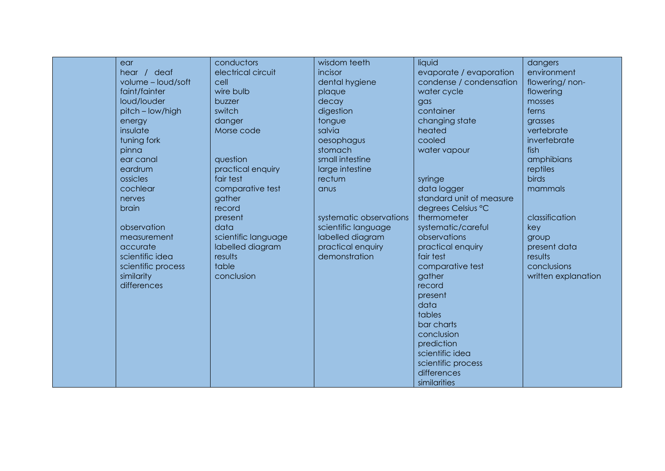| ear                | conductors          | wisdom teeth            | liquid                   | dangers             |
|--------------------|---------------------|-------------------------|--------------------------|---------------------|
| hear / deaf        | electrical circuit  | incisor                 | evaporate / evaporation  | environment         |
| volume - loud/soft | cell                | dental hygiene          | condense / condensation  | flowering/non-      |
| faint/fainter      | wire bulb           | plaque                  | water cycle              | flowering           |
| loud/louder        | buzzer              | decay                   | gas                      | mosses              |
| pitch - low/high   | switch              | digestion               | container                | ferns               |
| energy             | danger              | tongue                  | changing state           | grasses             |
| insulate           | Morse code          | salvia                  | heated                   | vertebrate          |
| tuning fork        |                     | oesophagus              | cooled                   | invertebrate        |
| pinna              |                     | stomach                 | water vapour             | fish                |
| ear canal          | question            | small intestine         |                          | amphibians          |
| eardrum            | practical enquiry   | large intestine         |                          | reptiles            |
| ossicles           | fair test           | rectum                  | syringe                  | birds               |
| cochlear           | comparative test    | anus                    | data logger              | mammals             |
| nerves             | gather              |                         | standard unit of measure |                     |
| brain              | record              |                         | degrees Celsius °C       |                     |
|                    | present             | systematic observations | thermometer              | classification      |
| observation        | data                | scientific language     | systematic/careful       | key                 |
| measurement        | scientific language | labelled diagram        | observations             | group               |
| accurate           | labelled diagram    | practical enquiry       | practical enquiry        | present data        |
| scientific idea    | results             | demonstration           | fair test                | results             |
| scientific process | table               |                         | comparative test         | conclusions         |
| similarity         | conclusion          |                         | gather                   | written explanation |
| differences        |                     |                         | record                   |                     |
|                    |                     |                         | present                  |                     |
|                    |                     |                         | data                     |                     |
|                    |                     |                         | tables                   |                     |
|                    |                     |                         | bar charts               |                     |
|                    |                     |                         | conclusion               |                     |
|                    |                     |                         | prediction               |                     |
|                    |                     |                         | scientific idea          |                     |
|                    |                     |                         | scientific process       |                     |
|                    |                     |                         | differences              |                     |
|                    |                     |                         | similarities             |                     |